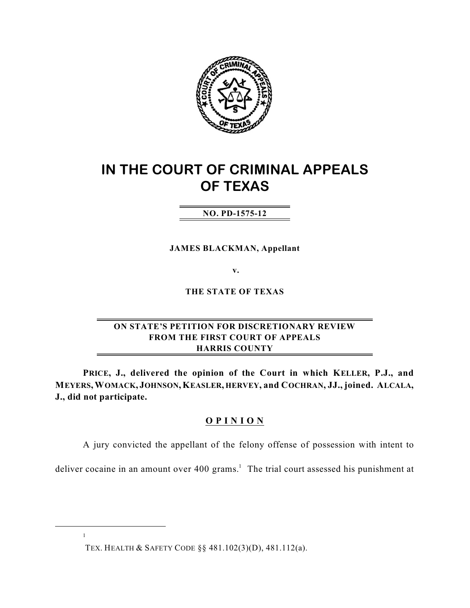

# **IN THE COURT OF CRIMINAL APPEALS OF TEXAS**

## **NO. PD-1575-12**

**JAMES BLACKMAN, Appellant**

**v.**

**THE STATE OF TEXAS**

## **ON STATE'S PETITION FOR DISCRETIONARY REVIEW FROM THE FIRST COURT OF APPEALS HARRIS COUNTY**

**PRICE, J., delivered the opinion of the Court in which KELLER, P.J., and MEYERS,WOMACK, JOHNSON,KEASLER, HERVEY, and COCHRAN, JJ., joined. ALCALA, J., did not participate.**

## **O P I N I O N**

A jury convicted the appellant of the felony offense of possession with intent to

deliver cocaine in an amount over  $400$  grams.<sup>1</sup> The trial court assessed his punishment at

TEX. HEALTH & SAFETY CODE §§ 481.102(3)(D), 481.112(a).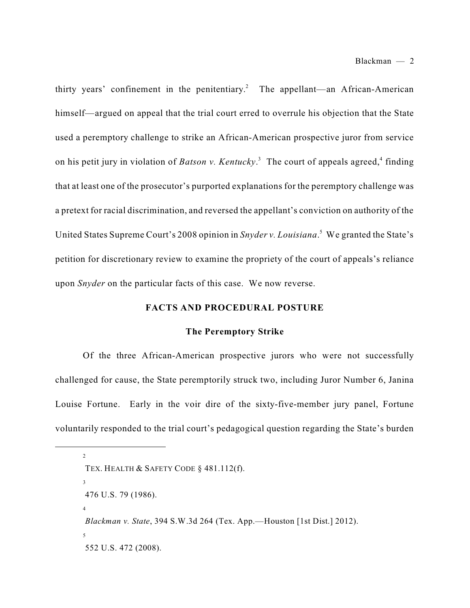thirty years' confinement in the penitentiary.<sup>2</sup> The appellant—an African-American himself—argued on appeal that the trial court erred to overrule his objection that the State used a peremptory challenge to strike an African-American prospective juror from service on his petit jury in violation of *Batson v. Kentucky*.<sup>3</sup> The court of appeals agreed,<sup>4</sup> finding that at least one of the prosecutor's purported explanations for the peremptory challenge was a pretext for racial discrimination, and reversed the appellant's conviction on authority of the United States Supreme Court's 2008 opinion in *Snyder v. Louisiana*.<sup>5</sup> We granted the State's petition for discretionary review to examine the propriety of the court of appeals's reliance upon *Snyder* on the particular facts of this case. We now reverse.

#### **FACTS AND PROCEDURAL POSTURE**

#### **The Peremptory Strike**

Of the three African-American prospective jurors who were not successfully challenged for cause, the State peremptorily struck two, including Juror Number 6, Janina Louise Fortune. Early in the voir dire of the sixty-five-member jury panel, Fortune voluntarily responded to the trial court's pedagogical question regarding the State's burden

<sup>2</sup> TEX. HEALTH & SAFETY CODE § 481.112(f). 3 476 U.S. 79 (1986). 4 *Blackman v. State*, 394 S.W.3d 264 (Tex. App.—Houston [1st Dist.] 2012). 5 552 U.S. 472 (2008).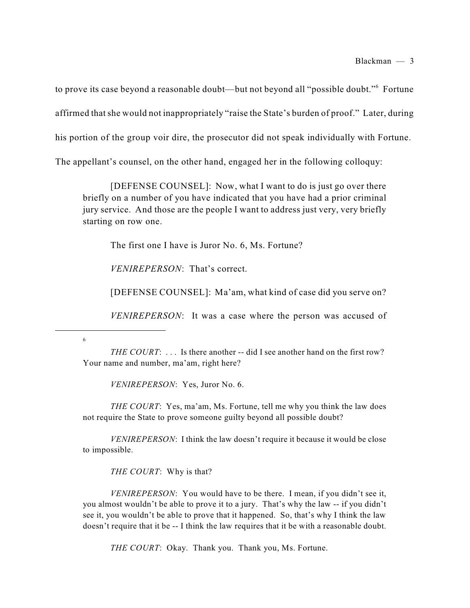to prove its case beyond a reasonable doubt—but not beyond all "possible doubt."<sup>6</sup> Fortune affirmed thatshe would not inappropriately "raise the State's burden of proof." Later, during his portion of the group voir dire, the prosecutor did not speak individually with Fortune. The appellant's counsel, on the other hand, engaged her in the following colloquy:

[DEFENSE COUNSEL]: Now, what I want to do is just go over there briefly on a number of you have indicated that you have had a prior criminal jury service. And those are the people I want to address just very, very briefly starting on row one.

The first one I have is Juror No. 6, Ms. Fortune?

*VENIREPERSON*: That's correct.

[DEFENSE COUNSEL]: Ma'am, what kind of case did you serve on?

*VENIREPERSON*: It was a case where the person was accused of

6

*THE COURT*: . . . Is there another -- did I see another hand on the first row? Your name and number, ma'am, right here?

*VENIREPERSON*: Yes, Juror No. 6.

*THE COURT*: Yes, ma'am, Ms. Fortune, tell me why you think the law does not require the State to prove someone guilty beyond all possible doubt?

*VENIREPERSON*: I think the law doesn't require it because it would be close to impossible.

*THE COURT*: Why is that?

*VENIREPERSON*: You would have to be there. I mean, if you didn't see it, you almost wouldn't be able to prove it to a jury. That's why the law -- if you didn't see it, you wouldn't be able to prove that it happened. So, that's why I think the law doesn't require that it be -- I think the law requires that it be with a reasonable doubt.

*THE COURT*: Okay. Thank you. Thank you, Ms. Fortune.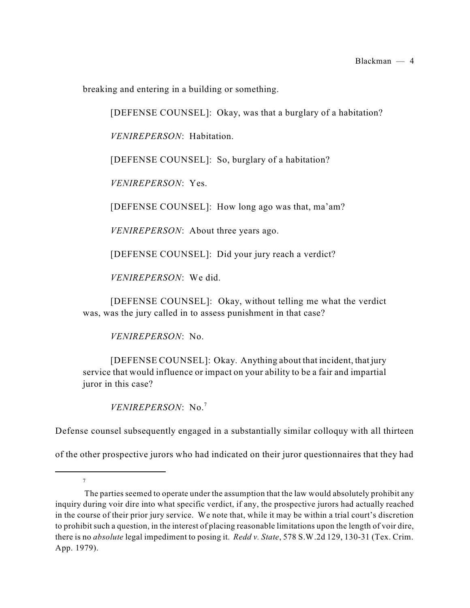breaking and entering in a building or something.

[DEFENSE COUNSEL]: Okay, was that a burglary of a habitation?

*VENIREPERSON*: Habitation.

[DEFENSE COUNSEL]: So, burglary of a habitation?

*VENIREPERSON*: Yes.

[DEFENSE COUNSEL]: How long ago was that, ma'am?

*VENIREPERSON*: About three years ago.

[DEFENSE COUNSEL]: Did your jury reach a verdict?

*VENIREPERSON*: We did.

[DEFENSE COUNSEL]: Okay, without telling me what the verdict was, was the jury called in to assess punishment in that case?

*VENIREPERSON*: No.

[DEFENSE COUNSEL]: Okay. Anything about that incident, that jury service that would influence or impact on your ability to be a fair and impartial juror in this case?

*VENIREPERSON*: No. 7

7

Defense counsel subsequently engaged in a substantially similar colloquy with all thirteen

of the other prospective jurors who had indicated on their juror questionnaires that they had

The parties seemed to operate under the assumption that the law would absolutely prohibit any inquiry during voir dire into what specific verdict, if any, the prospective jurors had actually reached in the course of their prior jury service. We note that, while it may be within a trial court's discretion to prohibit such a question, in the interest of placing reasonable limitations upon the length of voir dire, there is no *absolute* legal impediment to posing it. *Redd v. State*, 578 S.W.2d 129, 130-31 (Tex. Crim. App. 1979).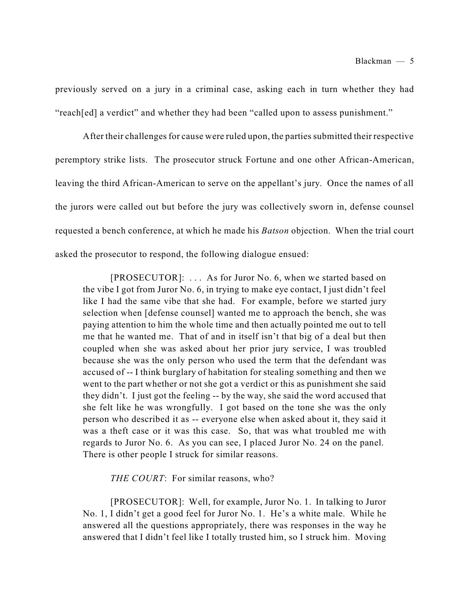previously served on a jury in a criminal case, asking each in turn whether they had "reach[ed] a verdict" and whether they had been "called upon to assess punishment."

After their challenges for cause were ruled upon, the parties submitted their respective peremptory strike lists. The prosecutor struck Fortune and one other African-American, leaving the third African-American to serve on the appellant's jury. Once the names of all the jurors were called out but before the jury was collectively sworn in, defense counsel requested a bench conference, at which he made his *Batson* objection. When the trial court asked the prosecutor to respond, the following dialogue ensued:

[PROSECUTOR]: . . . As for Juror No. 6, when we started based on the vibe I got from Juror No. 6, in trying to make eye contact, I just didn't feel like I had the same vibe that she had. For example, before we started jury selection when [defense counsel] wanted me to approach the bench, she was paying attention to him the whole time and then actually pointed me out to tell me that he wanted me. That of and in itself isn't that big of a deal but then coupled when she was asked about her prior jury service, I was troubled because she was the only person who used the term that the defendant was accused of -- I think burglary of habitation for stealing something and then we went to the part whether or not she got a verdict or this as punishment she said they didn't. I just got the feeling -- by the way, she said the word accused that she felt like he was wrongfully. I got based on the tone she was the only person who described it as -- everyone else when asked about it, they said it was a theft case or it was this case. So, that was what troubled me with regards to Juror No. 6. As you can see, I placed Juror No. 24 on the panel. There is other people I struck for similar reasons.

*THE COURT*: For similar reasons, who?

[PROSECUTOR]: Well, for example, Juror No. 1. In talking to Juror No. 1, I didn't get a good feel for Juror No. 1. He's a white male. While he answered all the questions appropriately, there was responses in the way he answered that I didn't feel like I totally trusted him, so I struck him. Moving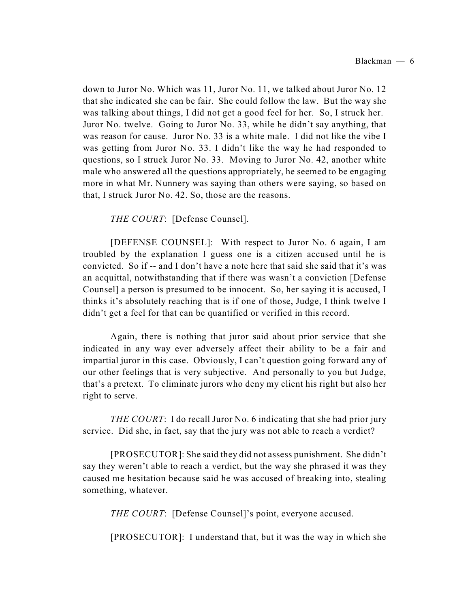down to Juror No. Which was 11, Juror No. 11, we talked about Juror No. 12 that she indicated she can be fair. She could follow the law. But the way she was talking about things, I did not get a good feel for her. So, I struck her. Juror No. twelve. Going to Juror No. 33, while he didn't say anything, that was reason for cause. Juror No. 33 is a white male. I did not like the vibe I was getting from Juror No. 33. I didn't like the way he had responded to questions, so I struck Juror No. 33. Moving to Juror No. 42, another white male who answered all the questions appropriately, he seemed to be engaging more in what Mr. Nunnery was saying than others were saying, so based on that, I struck Juror No. 42. So, those are the reasons.

*THE COURT*: [Defense Counsel].

[DEFENSE COUNSEL]: With respect to Juror No. 6 again, I am troubled by the explanation I guess one is a citizen accused until he is convicted. So if -- and I don't have a note here that said she said that it's was an acquittal, notwithstanding that if there was wasn't a conviction [Defense Counsel] a person is presumed to be innocent. So, her saying it is accused, I thinks it's absolutely reaching that is if one of those, Judge, I think twelve I didn't get a feel for that can be quantified or verified in this record.

Again, there is nothing that juror said about prior service that she indicated in any way ever adversely affect their ability to be a fair and impartial juror in this case. Obviously, I can't question going forward any of our other feelings that is very subjective. And personally to you but Judge, that's a pretext. To eliminate jurors who deny my client his right but also her right to serve.

*THE COURT*: I do recall Juror No. 6 indicating that she had prior jury service. Did she, in fact, say that the jury was not able to reach a verdict?

[PROSECUTOR]: She said they did not assess punishment. She didn't say they weren't able to reach a verdict, but the way she phrased it was they caused me hesitation because said he was accused of breaking into, stealing something, whatever.

*THE COURT*: [Defense Counsel]'s point, everyone accused.

[PROSECUTOR]: I understand that, but it was the way in which she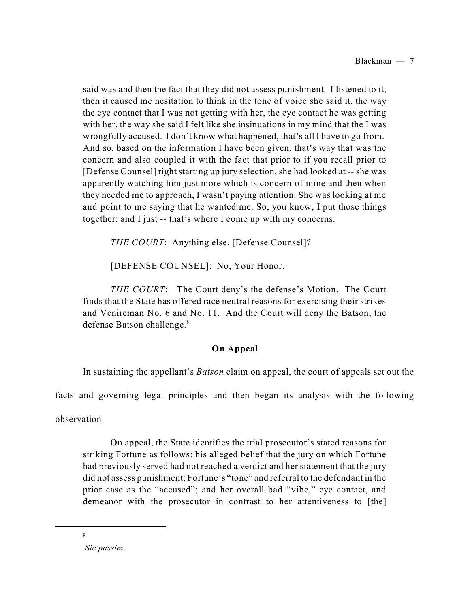said was and then the fact that they did not assess punishment. I listened to it, then it caused me hesitation to think in the tone of voice she said it, the way the eye contact that I was not getting with her, the eye contact he was getting with her, the way she said I felt like she insinuations in my mind that the I was wrongfully accused. I don't know what happened, that's all I have to go from. And so, based on the information I have been given, that's way that was the concern and also coupled it with the fact that prior to if you recall prior to [Defense Counsel] right starting up jury selection, she had looked at -- she was apparently watching him just more which is concern of mine and then when they needed me to approach, I wasn't paying attention. She was looking at me and point to me saying that he wanted me. So, you know, I put those things together; and I just -- that's where I come up with my concerns.

*THE COURT*: Anything else, [Defense Counsel]?

[DEFENSE COUNSEL]: No, Your Honor.

*THE COURT*: The Court deny's the defense's Motion. The Court finds that the State has offered race neutral reasons for exercising their strikes and Venireman No. 6 and No. 11. And the Court will deny the Batson, the defense Batson challenge. 8

## **On Appeal**

In sustaining the appellant's *Batson* claim on appeal, the court of appeals set out the

facts and governing legal principles and then began its analysis with the following

observation:

On appeal, the State identifies the trial prosecutor's stated reasons for striking Fortune as follows: his alleged belief that the jury on which Fortune had previously served had not reached a verdict and her statement that the jury did not assess punishment; Fortune's "tone" and referral to the defendant in the prior case as the "accused"; and her overall bad "vibe," eye contact, and demeanor with the prosecutor in contrast to her attentiveness to [the]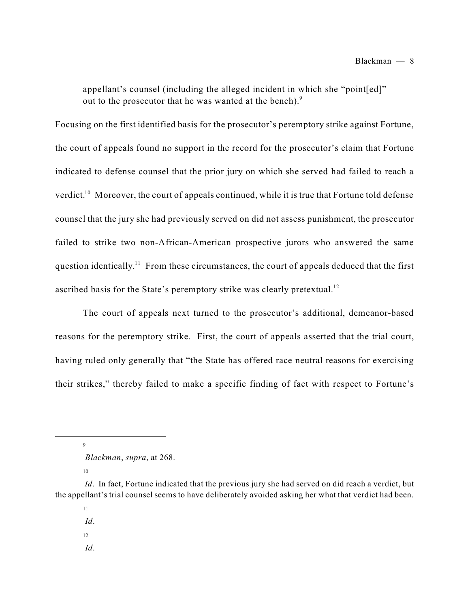appellant's counsel (including the alleged incident in which she "point[ed]" out to the prosecutor that he was wanted at the bench).<sup>9</sup>

Focusing on the first identified basis for the prosecutor's peremptory strike against Fortune, the court of appeals found no support in the record for the prosecutor's claim that Fortune indicated to defense counsel that the prior jury on which she served had failed to reach a verdict.<sup>10</sup> Moreover, the court of appeals continued, while it is true that Fortune told defense counsel that the jury she had previously served on did not assess punishment, the prosecutor failed to strike two non-African-American prospective jurors who answered the same question identically.<sup>11</sup> From these circumstances, the court of appeals deduced that the first ascribed basis for the State's peremptory strike was clearly pretextual.<sup>12</sup>

The court of appeals next turned to the prosecutor's additional, demeanor-based reasons for the peremptory strike. First, the court of appeals asserted that the trial court, having ruled only generally that "the State has offered race neutral reasons for exercising their strikes," thereby failed to make a specific finding of fact with respect to Fortune's

9

10

11 *Id*.

12

*Id*.

*Blackman*, *supra*, at 268.

*Id.* In fact, Fortune indicated that the previous jury she had served on did reach a verdict, but the appellant's trial counsel seems to have deliberately avoided asking her what that verdict had been.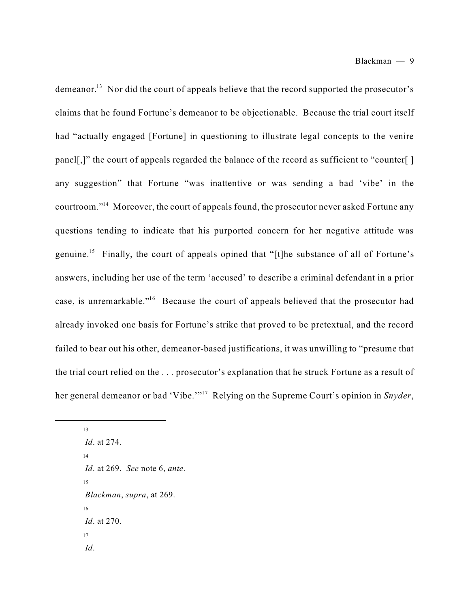demeanor.<sup>13</sup> Nor did the court of appeals believe that the record supported the prosecutor's claims that he found Fortune's demeanor to be objectionable. Because the trial court itself had "actually engaged [Fortune] in questioning to illustrate legal concepts to the venire panel[,]" the court of appeals regarded the balance of the record as sufficient to "counter[] any suggestion" that Fortune "was inattentive or was sending a bad 'vibe' in the courtroom."<sup>14</sup> Moreover, the court of appeals found, the prosecutor never asked Fortune any questions tending to indicate that his purported concern for her negative attitude was genuine.<sup>15</sup> Finally, the court of appeals opined that "[t]he substance of all of Fortune's answers, including her use of the term 'accused' to describe a criminal defendant in a prior case, is unremarkable."<sup>16</sup> Because the court of appeals believed that the prosecutor had already invoked one basis for Fortune's strike that proved to be pretextual, and the record failed to bear out his other, demeanor-based justifications, it was unwilling to "presume that the trial court relied on the . . . prosecutor's explanation that he struck Fortune as a result of her general demeanor or bad 'Vibe.'"<sup>17</sup> Relying on the Supreme Court's opinion in *Snyder*,

13 *Id*. at 274. 14 *Id*. at 269. *See* note 6, *ante*. 15 *Blackman*, *supra*, at 269. 16 *Id*. at 270. 17 *Id*.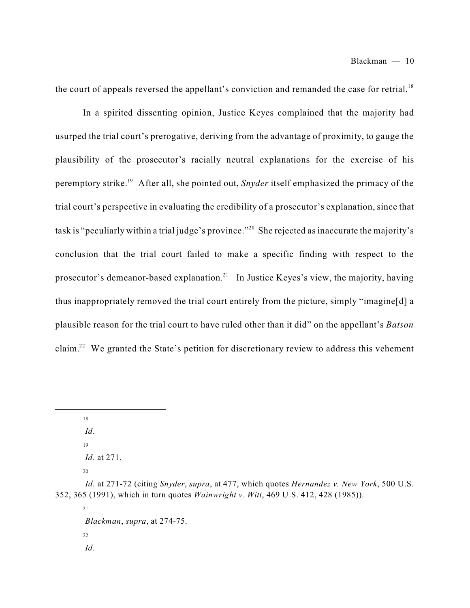the court of appeals reversed the appellant's conviction and remanded the case for retrial.<sup>18</sup>

In a spirited dissenting opinion, Justice Keyes complained that the majority had usurped the trial court's prerogative, deriving from the advantage of proximity, to gauge the plausibility of the prosecutor's racially neutral explanations for the exercise of his peremptory strike.<sup>19</sup> After all, she pointed out, *Snyder* itself emphasized the primacy of the trial court's perspective in evaluating the credibility of a prosecutor's explanation, since that task is "peculiarly within a trial judge's province."<sup>20</sup> She rejected as inaccurate the majority's conclusion that the trial court failed to make a specific finding with respect to the prosecutor's demeanor-based explanation.<sup>21</sup> In Justice Keyes's view, the majority, having thus inappropriately removed the trial court entirely from the picture, simply "imagine[d] a plausible reason for the trial court to have ruled other than it did" on the appellant's *Batson* claim.<sup>22</sup> We granted the State's petition for discretionary review to address this vehement

18

*Id*.

19

*Id*. at 271.

20

*Id*. at 271-72 (citing *Snyder*, *supra*, at 477, which quotes *Hernandez v. New York*, 500 U.S. 352, 365 (1991), which in turn quotes *Wainwright v. Witt*, 469 U.S. 412, 428 (1985)).

21 *Blackman*, *supra*, at 274-75. 22 *Id*.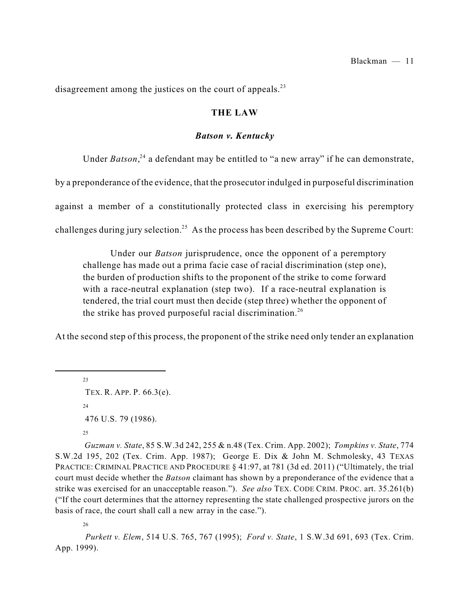disagreement among the justices on the court of appeals.<sup>23</sup>

#### **THE LAW**

#### *Batson v. Kentucky*

Under *Batson*,<sup>24</sup> a defendant may be entitled to "a new array" if he can demonstrate,

by a preponderance of the evidence, that the prosecutor indulged in purposeful discrimination

against a member of a constitutionally protected class in exercising his peremptory

challenges during jury selection.<sup>25</sup> As the process has been described by the Supreme Court:

Under our *Batson* jurisprudence, once the opponent of a peremptory challenge has made out a prima facie case of racial discrimination (step one), the burden of production shifts to the proponent of the strike to come forward with a race-neutral explanation (step two). If a race-neutral explanation is tendered, the trial court must then decide (step three) whether the opponent of the strike has proved purposeful racial discrimination.<sup>26</sup>

At the second step of this process, the proponent of the strike need only tender an explanation

23 TEX. R. APP. P. 66.3(e). 24 476 U.S. 79 (1986). 25

*Guzman v. State*, 85 S.W.3d 242, 255 & n.48 (Tex. Crim. App. 2002); *Tompkins v. State*, 774 S.W.2d 195, 202 (Tex. Crim. App. 1987); George E. Dix & John M. Schmolesky, 43 TEXAS PRACTICE: CRIMINAL PRACTICE AND PROCEDURE § 41:97, at 781 (3d ed. 2011) ("Ultimately, the trial court must decide whether the *Batson* claimant has shown by a preponderance of the evidence that a strike was exercised for an unacceptable reason."). *See also* TEX. CODE CRIM. PROC. art. 35.261(b) ("If the court determines that the attorney representing the state challenged prospective jurors on the basis of race, the court shall call a new array in the case.").

26

*Purkett v. Elem*, 514 U.S. 765, 767 (1995); *Ford v. State*, 1 S.W.3d 691, 693 (Tex. Crim. App. 1999).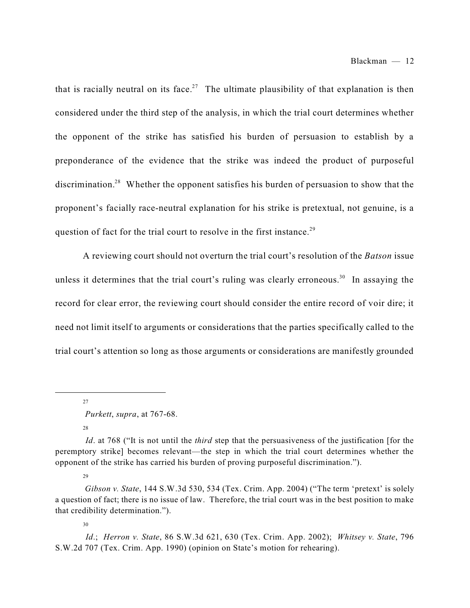that is racially neutral on its face.<sup>27</sup> The ultimate plausibility of that explanation is then considered under the third step of the analysis, in which the trial court determines whether the opponent of the strike has satisfied his burden of persuasion to establish by a preponderance of the evidence that the strike was indeed the product of purposeful discrimination.<sup>28</sup> Whether the opponent satisfies his burden of persuasion to show that the proponent's facially race-neutral explanation for his strike is pretextual, not genuine, is a question of fact for the trial court to resolve in the first instance.<sup>29</sup>

A reviewing court should not overturn the trial court's resolution of the *Batson* issue unless it determines that the trial court's ruling was clearly erroneous.<sup>30</sup> In assaying the record for clear error, the reviewing court should consider the entire record of voir dire; it need not limit itself to arguments or considerations that the parties specifically called to the trial court's attention so long as those arguments or considerations are manifestly grounded

27

28

29

*Purkett*, *supra*, at 767-68.

*Id.* at 768 ("It is not until the *third* step that the persuasiveness of the justification [for the peremptory strike] becomes relevant—the step in which the trial court determines whether the opponent of the strike has carried his burden of proving purposeful discrimination.").

*Gibson v. State*, 144 S.W.3d 530, 534 (Tex. Crim. App. 2004) ("The term 'pretext' is solely a question of fact; there is no issue of law. Therefore, the trial court was in the best position to make that credibility determination.").

*Id*.; *Herron v. State*, 86 S.W.3d 621, 630 (Tex. Crim. App. 2002); *Whitsey v. State*, 796 S.W.2d 707 (Tex. Crim. App. 1990) (opinion on State's motion for rehearing).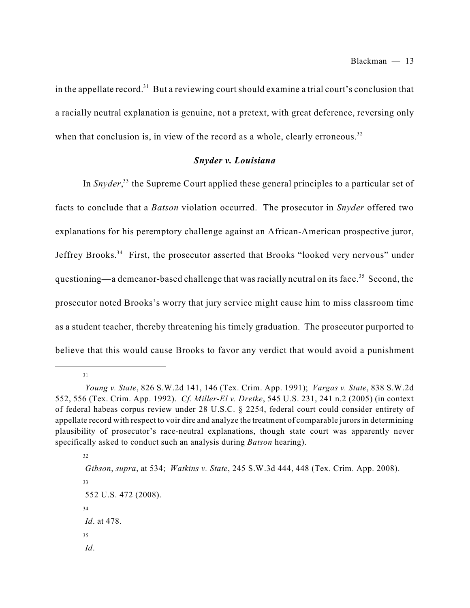in the appellate record.<sup>31</sup> But a reviewing court should examine a trial court's conclusion that a racially neutral explanation is genuine, not a pretext, with great deference, reversing only when that conclusion is, in view of the record as a whole, clearly erroneous.<sup>32</sup>

#### *Snyder v. Louisiana*

In *Snyder*,<sup>33</sup> the Supreme Court applied these general principles to a particular set of facts to conclude that a *Batson* violation occurred. The prosecutor in *Snyder* offered two explanations for his peremptory challenge against an African-American prospective juror, Jeffrey Brooks.<sup>34</sup> First, the prosecutor asserted that Brooks "looked very nervous" under questioning—a demeanor-based challenge that was racially neutral on its face.<sup>35</sup> Second, the prosecutor noted Brooks's worry that jury service might cause him to miss classroom time as a student teacher, thereby threatening his timely graduation. The prosecutor purported to believe that this would cause Brooks to favor any verdict that would avoid a punishment

*Young v. State*, 826 S.W.2d 141, 146 (Tex. Crim. App. 1991); *Vargas v. State*, 838 S.W.2d 552, 556 (Tex. Crim. App. 1992). *Cf. Miller-El v. Dretke*, 545 U.S. 231, 241 n.2 (2005) (in context of federal habeas corpus review under 28 U.S.C. § 2254, federal court could consider entirety of appellate record with respect to voir dire and analyze the treatment of comparable jurors in determining plausibility of prosecutor's race-neutral explanations, though state court was apparently never specifically asked to conduct such an analysis during *Batson* hearing).

<sup>32</sup>

*Gibson*, *supra*, at 534; *Watkins v. State*, 245 S.W.3d 444, 448 (Tex. Crim. App. 2008).

<sup>33</sup>

<sup>552</sup> U.S. 472 (2008). 34 *Id*. at 478. 35 *Id*.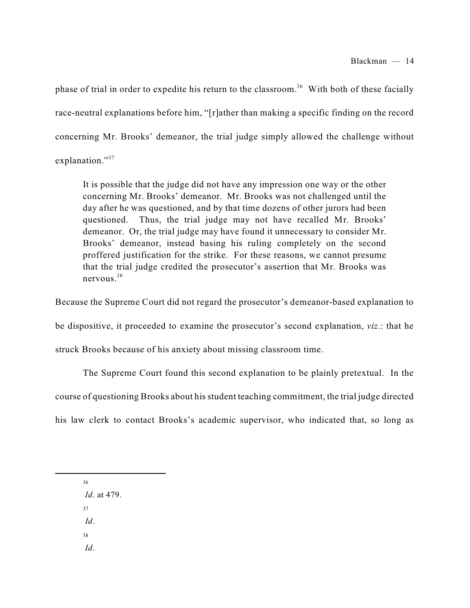phase of trial in order to expedite his return to the classroom.<sup>36</sup> With both of these facially race-neutral explanations before him, "[r]ather than making a specific finding on the record concerning Mr. Brooks' demeanor, the trial judge simply allowed the challenge without explanation."<sup>37</sup>

It is possible that the judge did not have any impression one way or the other concerning Mr. Brooks' demeanor. Mr. Brooks was not challenged until the day after he was questioned, and by that time dozens of other jurors had been questioned. Thus, the trial judge may not have recalled Mr. Brooks' demeanor. Or, the trial judge may have found it unnecessary to consider Mr. Brooks' demeanor, instead basing his ruling completely on the second proffered justification for the strike. For these reasons, we cannot presume that the trial judge credited the prosecutor's assertion that Mr. Brooks was nervous. 38

Because the Supreme Court did not regard the prosecutor's demeanor-based explanation to be dispositive, it proceeded to examine the prosecutor's second explanation, *viz*.: that he struck Brooks because of his anxiety about missing classroom time.

The Supreme Court found this second explanation to be plainly pretextual. In the course of questioning Brooks about hisstudent teaching commitment, the trial judge directed his law clerk to contact Brooks's academic supervisor, who indicated that, so long as

36

*Id*. at 479.

37

*Id*.

38

*Id*.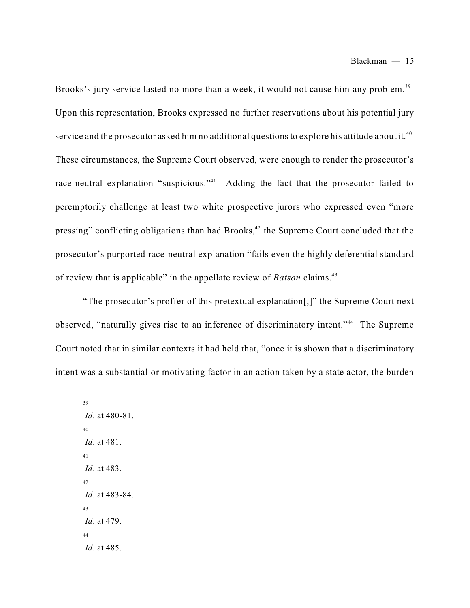Brooks's jury service lasted no more than a week, it would not cause him any problem.<sup>39</sup> Upon this representation, Brooks expressed no further reservations about his potential jury service and the prosecutor asked him no additional questions to explore his attitude about it.<sup>40</sup> These circumstances, the Supreme Court observed, were enough to render the prosecutor's race-neutral explanation "suspicious."<sup>41</sup> Adding the fact that the prosecutor failed to peremptorily challenge at least two white prospective jurors who expressed even "more pressing" conflicting obligations than had Brooks, $42$  the Supreme Court concluded that the prosecutor's purported race-neutral explanation "fails even the highly deferential standard of review that is applicable" in the appellate review of *Batson* claims. 43

"The prosecutor's proffer of this pretextual explanation[,]" the Supreme Court next observed, "naturally gives rise to an inference of discriminatory intent."<sup>44</sup> The Supreme Court noted that in similar contexts it had held that, "once it is shown that a discriminatory intent was a substantial or motivating factor in an action taken by a state actor, the burden

*Id*. at 480-81. 40 *Id*. at 481. 41 *Id*. at 483. 42 *Id*. at 483-84. 43 *Id*. at 479. 44 *Id*. at 485.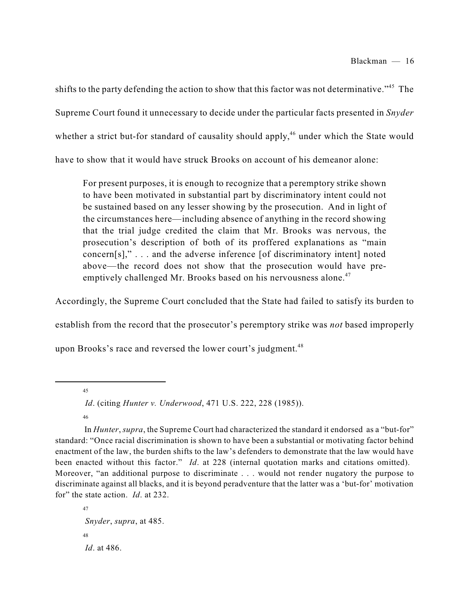shifts to the party defending the action to show that this factor was not determinative."<sup>45</sup> The Supreme Court found it unnecessary to decide under the particular facts presented in *Snyder* whether a strict but-for standard of causality should apply,<sup>46</sup> under which the State would have to show that it would have struck Brooks on account of his demeanor alone:

For present purposes, it is enough to recognize that a peremptory strike shown to have been motivated in substantial part by discriminatory intent could not be sustained based on any lesser showing by the prosecution. And in light of the circumstances here—including absence of anything in the record showing that the trial judge credited the claim that Mr. Brooks was nervous, the prosecution's description of both of its proffered explanations as "main concern[s]," . . . and the adverse inference [of discriminatory intent] noted above—the record does not show that the prosecution would have preemptively challenged Mr. Brooks based on his nervousness alone.<sup>47</sup>

Accordingly, the Supreme Court concluded that the State had failed to satisfy its burden to

establish from the record that the prosecutor's peremptory strike was *not* based improperly

upon Brooks's race and reversed the lower court's judgment.<sup>48</sup>

45

*Id*. (citing *Hunter v. Underwood*, 471 U.S. 222, 228 (1985)).

46

In *Hunter*, *supra*, the Supreme Court had characterized the standard it endorsed as a "but-for" standard: "Once racial discrimination is shown to have been a substantial or motivating factor behind enactment of the law, the burden shifts to the law's defenders to demonstrate that the law would have been enacted without this factor." *Id*. at 228 (internal quotation marks and citations omitted). Moreover, "an additional purpose to discriminate . . . would not render nugatory the purpose to discriminate against all blacks, and it is beyond peradventure that the latter was a 'but-for' motivation for" the state action. *Id*. at 232.

 $47$ *Snyder*, *supra*, at 485. 48 *Id*. at 486.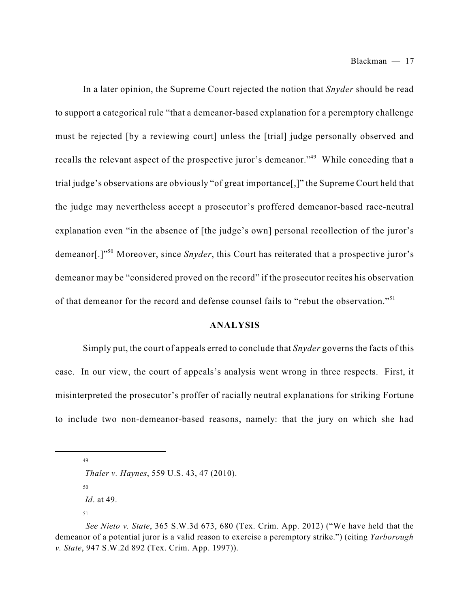In a later opinion, the Supreme Court rejected the notion that *Snyder* should be read to support a categorical rule "that a demeanor-based explanation for a peremptory challenge must be rejected [by a reviewing court] unless the [trial] judge personally observed and recalls the relevant aspect of the prospective juror's demeanor."<sup>49</sup> While conceding that a trial judge's observations are obviously "of great importance[,]" the Supreme Court held that the judge may nevertheless accept a prosecutor's proffered demeanor-based race-neutral explanation even "in the absence of [the judge's own] personal recollection of the juror's demeanor[.]"<sup>50</sup> Moreover, since Snyder, this Court has reiterated that a prospective juror's demeanor may be "considered proved on the record" if the prosecutor recites his observation of that demeanor for the record and defense counsel fails to "rebut the observation."<sup>51</sup>

#### **ANALYSIS**

Simply put, the court of appeals erred to conclude that *Snyder* governs the facts of this case. In our view, the court of appeals's analysis went wrong in three respects. First, it misinterpreted the prosecutor's proffer of racially neutral explanations for striking Fortune to include two non-demeanor-based reasons, namely: that the jury on which she had

49

50

*Id*. at 49.

*Thaler v. Haynes*, 559 U.S. 43, 47 (2010).

*See Nieto v. State*, 365 S.W.3d 673, 680 (Tex. Crim. App. 2012) ("We have held that the demeanor of a potential juror is a valid reason to exercise a peremptory strike.") (citing *Yarborough v. State*, 947 S.W.2d 892 (Tex. Crim. App. 1997)).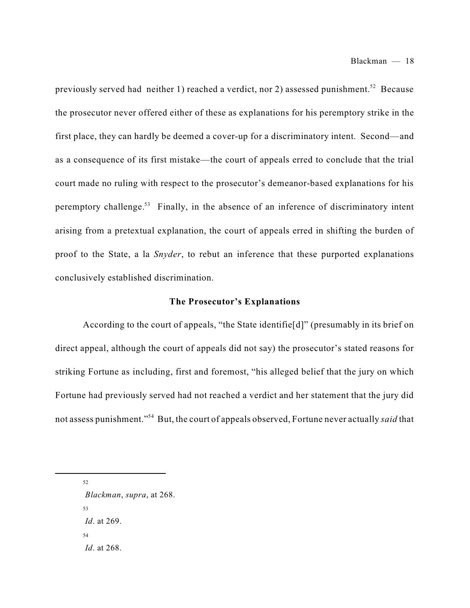previously served had neither 1) reached a verdict, nor 2) assessed punishment.<sup>52</sup> Because the prosecutor never offered either of these as explanations for his peremptory strike in the first place, they can hardly be deemed a cover-up for a discriminatory intent. Second—and as a consequence of its first mistake—the court of appeals erred to conclude that the trial court made no ruling with respect to the prosecutor's demeanor-based explanations for his peremptory challenge.<sup>53</sup> Finally, in the absence of an inference of discriminatory intent arising from a pretextual explanation, the court of appeals erred in shifting the burden of proof to the State, a la *Snyder*, to rebut an inference that these purported explanations conclusively established discrimination.

#### **The Prosecutor's Explanations**

According to the court of appeals, "the State identifie[d]" (presumably in its brief on direct appeal, although the court of appeals did not say) the prosecutor's stated reasons for striking Fortune as including, first and foremost, "his alleged belief that the jury on which Fortune had previously served had not reached a verdict and her statement that the jury did not assess punishment."<sup>54</sup> But, the court of appeals observed, Fortune never actually *said* that

52

*Blackman*, *supra*, at 268. 53 *Id*. at 269. 54 *Id*. at 268.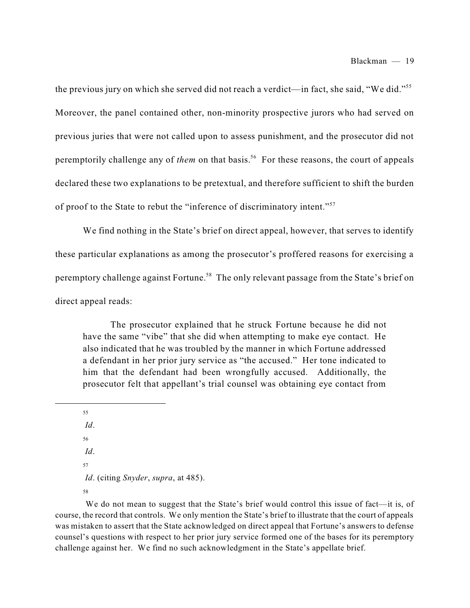the previous jury on which she served did not reach a verdict—in fact, she said, "We did."<sup>55</sup> Moreover, the panel contained other, non-minority prospective jurors who had served on previous juries that were not called upon to assess punishment, and the prosecutor did not peremptorily challenge any of *them* on that basis.<sup>56</sup> For these reasons, the court of appeals declared these two explanations to be pretextual, and therefore sufficient to shift the burden of proof to the State to rebut the "inference of discriminatory intent."<sup>57</sup>

We find nothing in the State's brief on direct appeal, however, that serves to identify these particular explanations as among the prosecutor's proffered reasons for exercising a peremptory challenge against Fortune.<sup>58</sup> The only relevant passage from the State's brief on direct appeal reads:

The prosecutor explained that he struck Fortune because he did not have the same "vibe" that she did when attempting to make eye contact. He also indicated that he was troubled by the manner in which Fortune addressed a defendant in her prior jury service as "the accused." Her tone indicated to him that the defendant had been wrongfully accused. Additionally, the prosecutor felt that appellant's trial counsel was obtaining eye contact from

*Id*.

57

*Id*. (citing *Snyder*, *supra*, at 485).

58

We do not mean to suggest that the State's brief would control this issue of fact—it is, of course, the record that controls. We only mention the State's brief to illustrate that the court of appeals was mistaken to assert that the State acknowledged on direct appeal that Fortune's answers to defense counsel's questions with respect to her prior jury service formed one of the bases for its peremptory challenge against her. We find no such acknowledgment in the State's appellate brief.

<sup>55</sup> *Id*. 56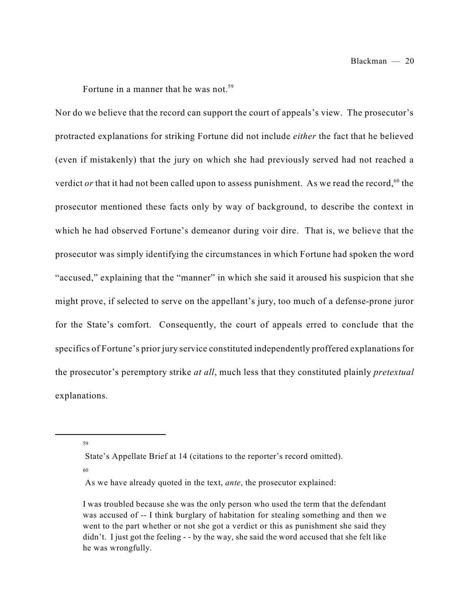Fortune in a manner that he was not.<sup>59</sup>

Nor do we believe that the record can support the court of appeals's view. The prosecutor's protracted explanations for striking Fortune did not include *either* the fact that he believed (even if mistakenly) that the jury on which she had previously served had not reached a verdict *or* that it had not been called upon to assess punishment. As we read the record,<sup>60</sup> the prosecutor mentioned these facts only by way of background, to describe the context in which he had observed Fortune's demeanor during voir dire. That is, we believe that the prosecutor was simply identifying the circumstances in which Fortune had spoken the word "accused," explaining that the "manner" in which she said it aroused his suspicion that she might prove, if selected to serve on the appellant's jury, too much of a defense-prone juror for the State's comfort. Consequently, the court of appeals erred to conclude that the specifics of Fortune's prior jury service constituted independently proffered explanations for the prosecutor's peremptory strike *at all*, much less that they constituted plainly *pretextual* explanations.

59

State's Appellate Brief at 14 (citations to the reporter's record omitted).

As we have already quoted in the text, *ante*, the prosecutor explained:

I was troubled because she was the only person who used the term that the defendant was accused of -- I think burglary of habitation for stealing something and then we went to the part whether or not she got a verdict or this as punishment she said they didn't. I just got the feeling - - by the way, she said the word accused that she felt like he was wrongfully.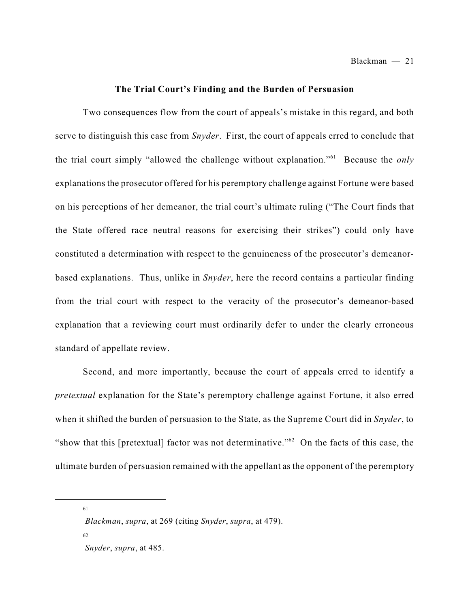Blackman — 21

#### **The Trial Court's Finding and the Burden of Persuasion**

Two consequences flow from the court of appeals's mistake in this regard, and both serve to distinguish this case from *Snyder*. First, the court of appeals erred to conclude that the trial court simply "allowed the challenge without explanation."<sup>61</sup> Because the *only* explanations the prosecutor offered for his peremptory challenge against Fortune were based on his perceptions of her demeanor, the trial court's ultimate ruling ("The Court finds that the State offered race neutral reasons for exercising their strikes") could only have constituted a determination with respect to the genuineness of the prosecutor's demeanorbased explanations. Thus, unlike in *Snyder*, here the record contains a particular finding from the trial court with respect to the veracity of the prosecutor's demeanor-based explanation that a reviewing court must ordinarily defer to under the clearly erroneous standard of appellate review.

Second, and more importantly, because the court of appeals erred to identify a *pretextual* explanation for the State's peremptory challenge against Fortune, it also erred when it shifted the burden of persuasion to the State, as the Supreme Court did in *Snyder*, to "show that this [pretextual] factor was not determinative." $62$  On the facts of this case, the ultimate burden of persuasion remained with the appellant as the opponent of the peremptory

*Blackman*, *supra*, at 269 (citing *Snyder*, *supra*, at 479). 62

*Snyder*, *supra*, at 485.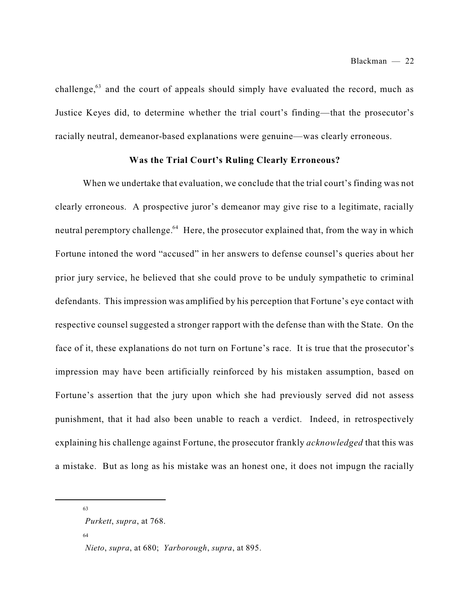challenge, $63$  and the court of appeals should simply have evaluated the record, much as Justice Keyes did, to determine whether the trial court's finding—that the prosecutor's racially neutral, demeanor-based explanations were genuine—was clearly erroneous.

#### **Was the Trial Court's Ruling Clearly Erroneous?**

When we undertake that evaluation, we conclude that the trial court's finding was not clearly erroneous. A prospective juror's demeanor may give rise to a legitimate, racially neutral peremptory challenge.<sup>64</sup> Here, the prosecutor explained that, from the way in which Fortune intoned the word "accused" in her answers to defense counsel's queries about her prior jury service, he believed that she could prove to be unduly sympathetic to criminal defendants. This impression was amplified by his perception that Fortune's eye contact with respective counsel suggested a stronger rapport with the defense than with the State. On the face of it, these explanations do not turn on Fortune's race. It is true that the prosecutor's impression may have been artificially reinforced by his mistaken assumption, based on Fortune's assertion that the jury upon which she had previously served did not assess punishment, that it had also been unable to reach a verdict. Indeed, in retrospectively explaining his challenge against Fortune, the prosecutor frankly *acknowledged* that this was a mistake. But as long as his mistake was an honest one, it does not impugn the racially

63

*Purkett*, *supra*, at 768.

*Nieto*, *supra*, at 680; *Yarborough*, *supra*, at 895.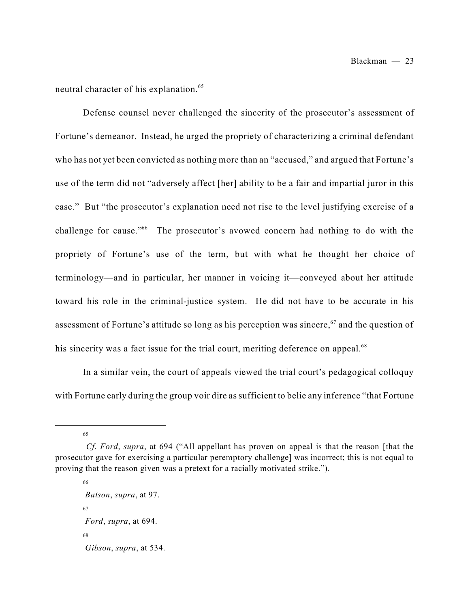neutral character of his explanation. 65

Defense counsel never challenged the sincerity of the prosecutor's assessment of Fortune's demeanor. Instead, he urged the propriety of characterizing a criminal defendant who has not yet been convicted as nothing more than an "accused," and argued that Fortune's use of the term did not "adversely affect [her] ability to be a fair and impartial juror in this case." But "the prosecutor's explanation need not rise to the level justifying exercise of a challenge for cause." The prosecutor's avowed concern had nothing to do with the propriety of Fortune's use of the term, but with what he thought her choice of terminology—and in particular, her manner in voicing it—conveyed about her attitude toward his role in the criminal-justice system. He did not have to be accurate in his assessment of Fortune's attitude so long as his perception was sincere,  $67$  and the question of his sincerity was a fact issue for the trial court, meriting deference on appeal.<sup>68</sup>

In a similar vein, the court of appeals viewed the trial court's pedagogical colloquy with Fortune early during the group voir dire as sufficient to belie any inference "that Fortune

65

66

*Batson*, *supra*, at 97. 67 *Ford*, *supra*, at 694. 68 *Gibson*, *supra*, at 534.

*Cf*. *Ford*, *supra*, at 694 ("All appellant has proven on appeal is that the reason [that the prosecutor gave for exercising a particular peremptory challenge] was incorrect; this is not equal to proving that the reason given was a pretext for a racially motivated strike.").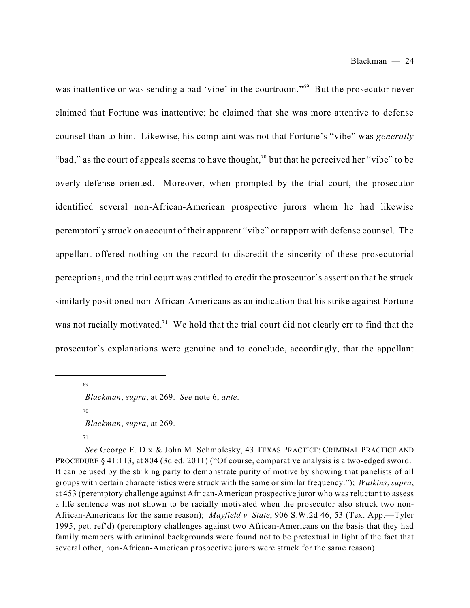was inattentive or was sending a bad 'vibe' in the courtroom."<sup>69</sup> But the prosecutor never claimed that Fortune was inattentive; he claimed that she was more attentive to defense counsel than to him. Likewise, his complaint was not that Fortune's "vibe" was *generally* "bad," as the court of appeals seems to have thought,<sup>70</sup> but that he perceived her "vibe" to be overly defense oriented. Moreover, when prompted by the trial court, the prosecutor identified several non-African-American prospective jurors whom he had likewise peremptorily struck on account of their apparent "vibe" or rapport with defense counsel. The appellant offered nothing on the record to discredit the sincerity of these prosecutorial perceptions, and the trial court was entitled to credit the prosecutor's assertion that he struck similarly positioned non-African-Americans as an indication that his strike against Fortune was not racially motivated.<sup>71</sup> We hold that the trial court did not clearly err to find that the prosecutor's explanations were genuine and to conclude, accordingly, that the appellant

69

70 *Blackman*, *supra*, at 269.

71

*See* George E. Dix & John M. Schmolesky, 43 TEXAS PRACTICE: CRIMINAL PRACTICE AND PROCEDURE § 41:113, at 804 (3d ed. 2011) ("Of course, comparative analysis is a two-edged sword. It can be used by the striking party to demonstrate purity of motive by showing that panelists of all groups with certain characteristics were struck with the same or similar frequency."); *Watkins*, *supra*, at 453 (peremptory challenge against African-American prospective juror who was reluctant to assess a life sentence was not shown to be racially motivated when the prosecutor also struck two non-African-Americans for the same reason); *Mayfield v. State*, 906 S.W.2d 46, 53 (Tex. App.—Tyler 1995, pet. ref'd) (peremptory challenges against two African-Americans on the basis that they had family members with criminal backgrounds were found not to be pretextual in light of the fact that several other, non-African-American prospective jurors were struck for the same reason).

*Blackman*, *supra*, at 269. *See* note 6, *ante*.